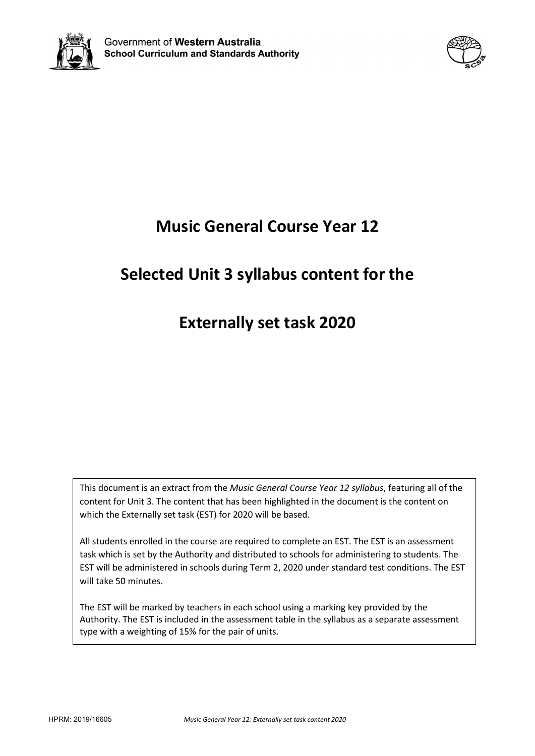



# **Music General Course Year 12**

## **Selected Unit 3 syllabus content for the**

## **Externally set task 2020**

This document is an extract from the *Music General Course Year 12 syllabus*, featuring all of the content for Unit 3. The content that has been highlighted in the document is the content on which the Externally set task (EST) for 2020 will be based.

All students enrolled in the course are required to complete an EST. The EST is an assessment task which is set by the Authority and distributed to schools for administering to students. The EST will be administered in schools during Term 2, 2020 under standard test conditions. The EST will take 50 minutes.

The EST will be marked by teachers in each school using a marking key provided by the Authority. The EST is included in the assessment table in the syllabus as a separate assessment type with a weighting of 15% for the pair of units.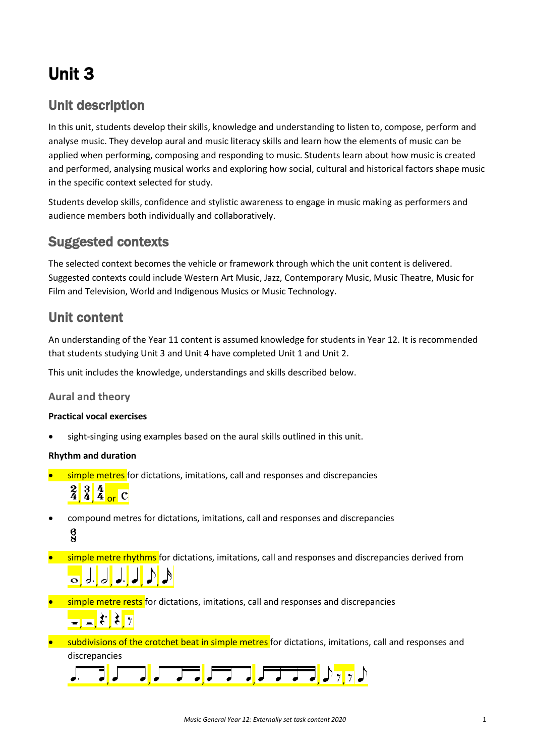# Unit 3

### Unit description

In this unit, students develop their skills, knowledge and understanding to listen to, compose, perform and analyse music. They develop aural and music literacy skills and learn how the elements of music can be applied when performing, composing and responding to music. Students learn about how music is created and performed, analysing musical works and exploring how social, cultural and historical factors shape music in the specific context selected for study.

Students develop skills, confidence and stylistic awareness to engage in music making as performers and audience members both individually and collaboratively.

### Suggested contexts

The selected context becomes the vehicle or framework through which the unit content is delivered. Suggested contexts could include Western Art Music, Jazz, Contemporary Music, Music Theatre, Music for Film and Television, World and Indigenous Musics or Music Technology.

### Unit content

An understanding of the Year 11 content is assumed knowledge for students in Year 12. It is recommended that students studying Unit 3 and Unit 4 have completed Unit 1 and Unit 2.

This unit includes the knowledge, understandings and skills described below.

#### **Aural and theory**

#### **Practical vocal exercises**

sight-singing using examples based on the aural skills outlined in this unit.

#### **Rhythm and duration**

• simple metres for dictations, imitations, call and responses and discrepancies

# $\frac{2}{4}$  $\frac{3}{4}$  $\frac{4}{4}$  or C

- compound metres for dictations, imitations, call and responses and discrepancies  $\frac{6}{2}$
- simple metre rhythms for dictations, imitations, call and responses and discrepancies derived from , , , , , ,
- **•** simple metre rests for dictations, imitations, call and responses and discrepancies  $=$   $\frac{1}{2}$ ,  $\frac{1}{2}$ ,  $\frac{1}{2}$
- subdivisions of the crotchet beat in simple metres for dictations, imitations, call and responses and discrepancies

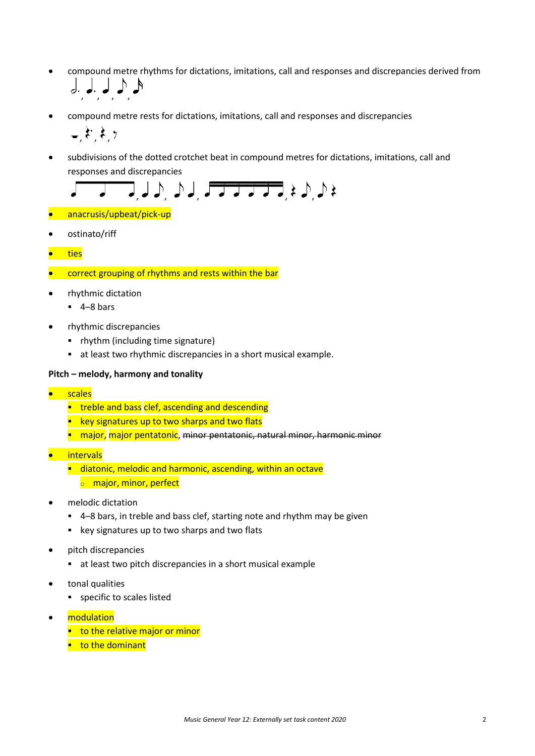- compound metre rhythms for dictations, imitations, call and responses and discrepancies derived from , , , ,
- compound metre rests for dictations, imitations, call and responses and discrepancies

$$
,\mathfrak{k},\mathfrak{k},\tau
$$

• subdivisions of the dotted crotchet beat in compound metres for dictations, imitations, call and responses and discrepancies



- anacrusis/upbeat/pick-up
- ostinato/riff
- ties
- **COFFER 6.1 COFFER 2016** COFFER COFFER COFFER 10 COFFER 10 Apr COFFER 10 Apr COFFER
- rhythmic dictation
	- $-4-8$  bars
- rhythmic discrepancies
	- rhythm (including time signature)
	- at least two rhythmic discrepancies in a short musical example.

#### **Pitch – melody, harmony and tonality**

- scales
	- **treble and bass clef, ascending and descending**
	- **EXT** key signatures up to two sharps and two flats
	- **n** major, major pentatonic, minor pentatonic, natural minor, harmonic minor
- intervals
	- diatonic, melodic and harmonic, ascending, within an octave **o** major, minor, perfect
- melodic dictation
	- 4–8 bars, in treble and bass clef, starting note and rhythm may be given
	- key signatures up to two sharps and two flats
- pitch discrepancies
	- at least two pitch discrepancies in a short musical example
- tonal qualities
	- specific to scales listed
- modulation
	- $\blacksquare$  to the relative major or minor
	- $\blacksquare$  to the dominant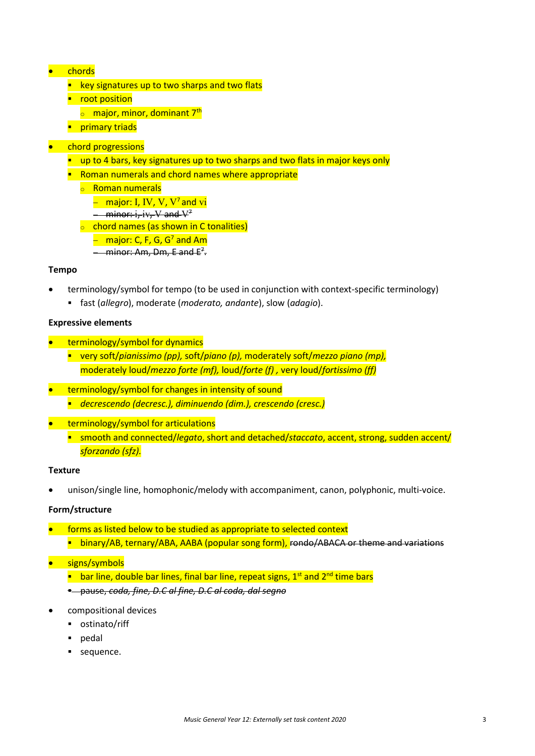#### • chords

- $\blacksquare$  key signatures up to two sharps and two flats
- **•** root position
	- o major, minor, dominant 7<sup>th</sup>
- **Primary triads**

#### • chord progressions

- up to 4 bars, key signatures up to two sharps and two flats in major keys only
- **Roman numerals and chord names where appropriate** 
	- <sup>o</sup> Roman numerals
		- − major: I, IV, V, V7 and vi
		- − minor: i, iv, V and V<sup>7</sup>
		- **o** chord names (as shown in C tonalities)
			- $-$  major: C, F, G, G<sup>7</sup> and Am
			- − minor: Am, Dm, E and E<sup>z</sup>.

#### **Tempo**

- terminology/symbol for tempo (to be used in conjunction with context-specific terminology)
	- fast (*allegro*), moderate (*moderato, andante*), slow (*adagio*).

#### **Expressive elements**

- terminology/symbol for dynamics
	- very soft/*pianissimo (pp),* soft/*piano (p),* moderately soft/*mezzo piano (mp),*  moderately loud/*mezzo forte (mf),* loud/*forte (f) ,* very loud/*fortissimo (ff)*
- terminology/symbol for changes in intensity of sound *decrescendo (decresc.), diminuendo (dim.), crescendo (cresc.)*
- terminology/symbol for articulations
	- smooth and connected/*legato*, short and detached/*staccato*, accent, strong, sudden accent/ *sforzando (sfz).*

#### **Texture**

• unison/single line, homophonic/melody with accompaniment, canon, polyphonic, multi-voice.

#### **Form/structure**

- forms as listed below to be studied as appropriate to selected context **binary/AB, ternary/ABA, AABA (popular song form), rondo/ABACA or theme and variations**
- signs/symbols
	- **E** bar line, double bar lines, final bar line, repeat signs,  $1<sup>st</sup>$  and  $2<sup>nd</sup>$  time bars
	- pause, *coda, fine, D.C al fine, D.C al coda, dal segno*
- compositional devices
	- ostinato/riff
	- pedal
	- sequence.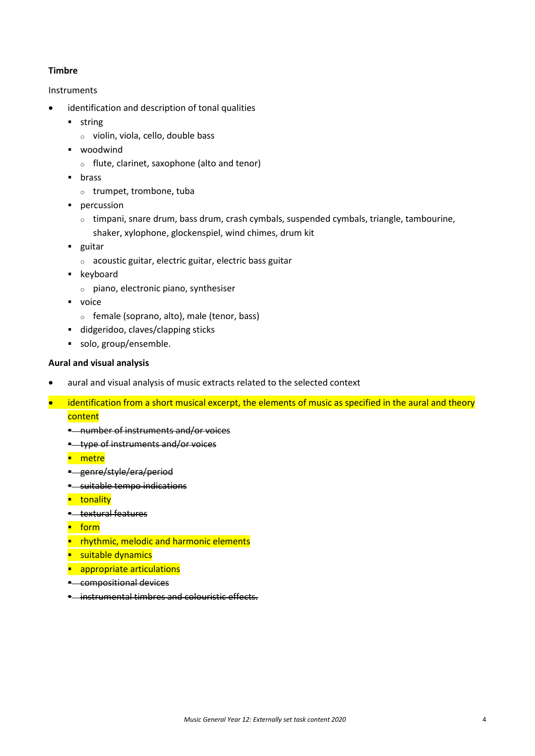#### **Timbre**

#### Instruments

- identification and description of tonal qualities
	- **string** 
		- <sup>o</sup> violin, viola, cello, double bass
	- **•** woodwind
		- <sup>o</sup> flute, clarinet, saxophone (alto and tenor)
	- **brass** 
		- <sup>o</sup> trumpet, trombone, tuba
	- **percussion** 
		- $\circ$  timpani, snare drum, bass drum, crash cymbals, suspended cymbals, triangle, tambourine, shaker, xylophone, glockenspiel, wind chimes, drum kit
	- **guitar** 
		- <sup>o</sup> acoustic guitar, electric guitar, electric bass guitar
	- **EXEC** keyboard
		- <sup>o</sup> piano, electronic piano, synthesiser
	- **voice** 
		- <sup>o</sup> female (soprano, alto), male (tenor, bass)
	- didgeridoo, claves/clapping sticks
	- solo, group/ensemble.

#### **Aural and visual analysis**

- aural and visual analysis of music extracts related to the selected context
- identification from a short musical excerpt, the elements of music as specified in the aural and theory content
	- **E** number of instruments and/or voices
	- **type of instruments and/or voices**
	- **-** metre
	- **E** genre/style/era/period
	- **\*** suitable tempo indications
	- **u**tonality
	- **\*** textural features
	- $-$  form
	- **Parthmic, melodic and harmonic elements**
	- **suitable dynamics**
	- **appropriate articulations**
	- **E** compositional devices
	- **E.** instrumental timbres and colouristic effects.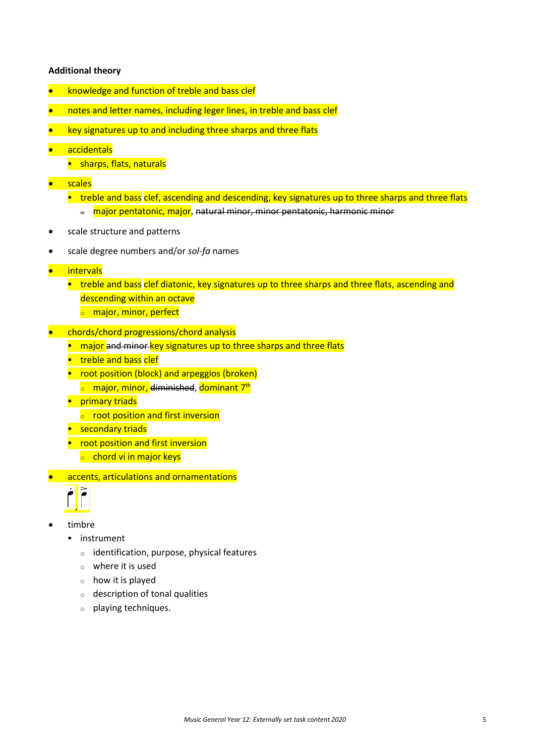#### **Additional theory**

- knowledge and function of treble and bass clef
- notes and letter names, including leger lines, in treble and bass clef
- key signatures up to and including three sharps and three flats
- accidentals
	- **sharps, flats, naturals**
- scales
	- **treble and bass clef, ascending and descending, key signatures up to three sharps and three flats** 
		- $\theta$  major pentatonic, major, natural minor, minor pentatonic, harmonic minor
- scale structure and patterns
- scale degree numbers and/or *sol-fa* names
- intervals
	- **timation and bass clef diatonic, key signatures up to three sharps and three flats, ascending and** descending within an octave
		- **o** major, minor, perfect
- chords/chord progressions/chord analysis
	- **n** major and minor key signatures up to three sharps and three flats
	- **treble and bass clef**
	- **•** root position (block) and arpeggios (broken)
		- $\circ$  major, minor, diminished, dominant 7<sup>th</sup>
	- **Primary triads** 
		- o root position and first inversion
	- **E** secondary triads
	- **•** root position and first inversion
		- $\circ$  chord vi in major keys
- accents, articulations and ornamentations



- timbre
	- **·** instrument
		- <sup>o</sup> identification, purpose, physical features
		- $\circ$  where it is used
		- <sup>o</sup> how it is played
		- <sup>o</sup> description of tonal qualities
		- <sup>o</sup> playing techniques.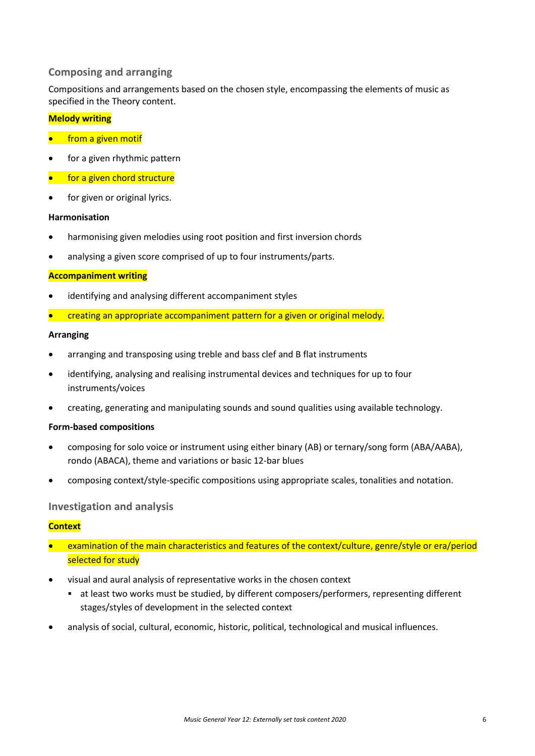#### **Composing and arranging**

Compositions and arrangements based on the chosen style, encompassing the elements of music as specified in the Theory content.

#### **Melody writing**

- **•** from a given motif
- for a given rhythmic pattern
- for a given chord structure
- for given or original lyrics.

#### **Harmonisation**

- harmonising given melodies using root position and first inversion chords
- analysing a given score comprised of up to four instruments/parts.

#### **Accompaniment writing**

- identifying and analysing different accompaniment styles
- creating an appropriate accompaniment pattern for a given or original melody.

#### **Arranging**

- arranging and transposing using treble and bass clef and B flat instruments
- identifying, analysing and realising instrumental devices and techniques for up to four instruments/voices
- creating, generating and manipulating sounds and sound qualities using available technology.

#### **Form-based compositions**

- composing for solo voice or instrument using either binary (AB) or ternary/song form (ABA/AABA), rondo (ABACA), theme and variations or basic 12-bar blues
- composing context/style-specific compositions using appropriate scales, tonalities and notation.

#### **Investigation and analysis**

#### **Context**

- examination of the main characteristics and features of the context/culture, genre/style or era/period selected for study
- visual and aural analysis of representative works in the chosen context
	- at least two works must be studied, by different composers/performers, representing different stages/styles of development in the selected context
- analysis of social, cultural, economic, historic, political, technological and musical influences.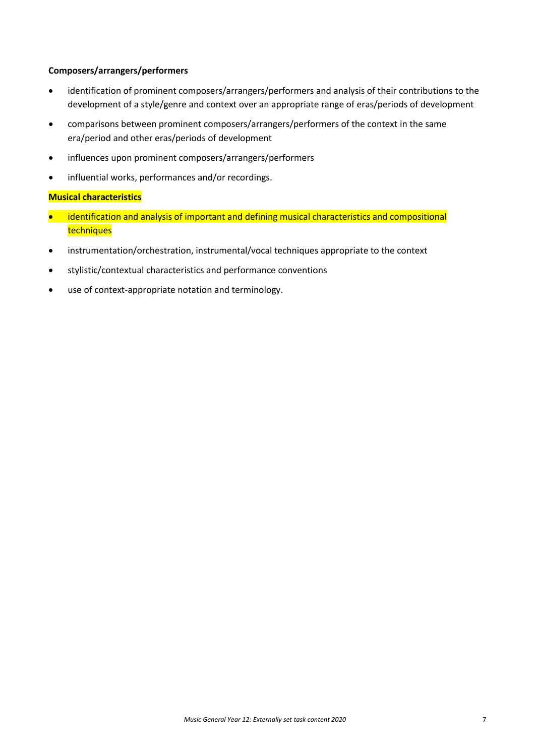#### **Composers/arrangers/performers**

- identification of prominent composers/arrangers/performers and analysis of their contributions to the development of a style/genre and context over an appropriate range of eras/periods of development
- comparisons between prominent composers/arrangers/performers of the context in the same era/period and other eras/periods of development
- influences upon prominent composers/arrangers/performers
- influential works, performances and/or recordings.

#### **Musical characteristics**

- identification and analysis of important and defining musical characteristics and compositional techniques
- instrumentation/orchestration, instrumental/vocal techniques appropriate to the context
- stylistic/contextual characteristics and performance conventions
- use of context-appropriate notation and terminology.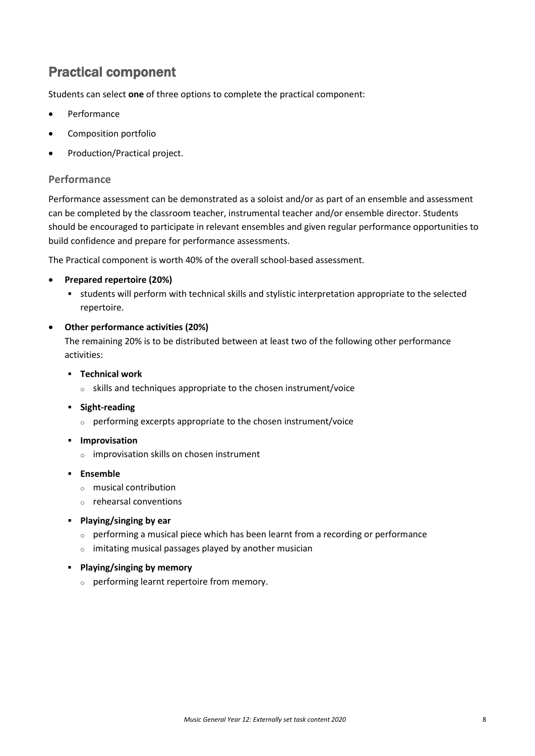### Practical component

Students can select **one** of three options to complete the practical component:

- **Performance**
- Composition portfolio
- Production/Practical project.

#### **Performance**

Performance assessment can be demonstrated as a soloist and/or as part of an ensemble and assessment can be completed by the classroom teacher, instrumental teacher and/or ensemble director. Students should be encouraged to participate in relevant ensembles and given regular performance opportunities to build confidence and prepare for performance assessments.

The Practical component is worth 40% of the overall school-based assessment.

#### • **Prepared repertoire (20%)**

 students will perform with technical skills and stylistic interpretation appropriate to the selected repertoire.

#### • **Other performance activities (20%)**

The remaining 20% is to be distributed between at least two of the following other performance activities:

- **Technical work**
	- <sup>o</sup> skills and techniques appropriate to the chosen instrument/voice
- **Fight-reading** 
	- <sup>o</sup> performing excerpts appropriate to the chosen instrument/voice
- **Improvisation** 
	- <sup>o</sup> improvisation skills on chosen instrument
- **Ensemble**
	- <sup>o</sup> musical contribution
	- <sup>o</sup> rehearsal conventions
- **Playing/singing by ear**
	- <sup>o</sup> performing a musical piece which has been learnt from a recording or performance
	- <sup>o</sup> imitating musical passages played by another musician
- **Playing/singing by memory**
	- <sup>o</sup> performing learnt repertoire from memory.